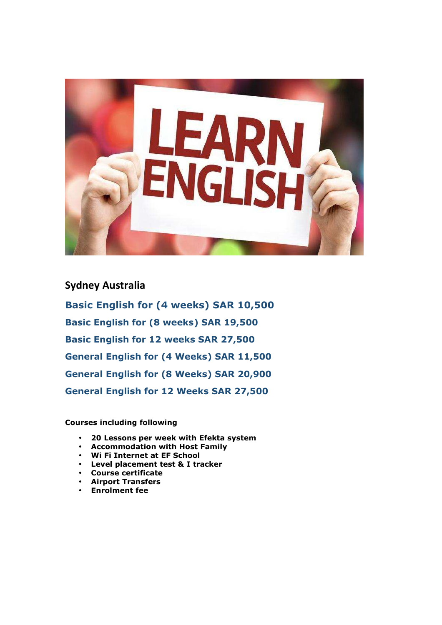

**Sydney Australia Basic English for (4 weeks) SAR 10,500 Basic English for (8 weeks) SAR 19,500 Basic English for 12 weeks SAR 27,500 General English for (4 Weeks) SAR 11,500 General English for (8 Weeks) SAR 20,900 General English for 12 Weeks SAR 27,500** 

**Courses including following** 

- **20 Lessons per week with Efekta system**
- **Accommodation with Host Family**
- **Wi Fi Internet at EF School**
- **Level placement test & I tracker**
- **Course certificate**
- **Airport Transfers**
- **Enrolment fee**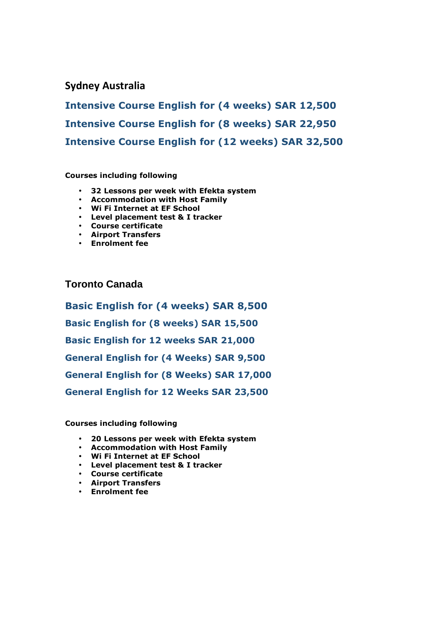## **Sydney Australia**

**Intensive Course English for (4 weeks) SAR 12,500 Intensive Course English for (8 weeks) SAR 22,950 Intensive Course English for (12 weeks) SAR 32,500**

### **Courses including following**

- **32 Lessons per week with Efekta system**
- **Accommodation with Host Family**
- **Wi Fi Internet at EF School**
- **Level placement test & I tracker**
- **Course certificate**
- **Airport Transfers**
- **Enrolment fee**

## **Toronto Canada**

**Basic English for (4 weeks) SAR 8,500 Basic English for (8 weeks) SAR 15,500 Basic English for 12 weeks SAR 21,000 General English for (4 Weeks) SAR 9,500 General English for (8 Weeks) SAR 17,000 General English for 12 Weeks SAR 23,500** 

#### **Courses including following**

- **20 Lessons per week with Efekta system**
- **Accommodation with Host Family**
- **Wi Fi Internet at EF School**
- **Level placement test & I tracker**
- **Course certificate**
- **Airport Transfers**
- **Enrolment fee**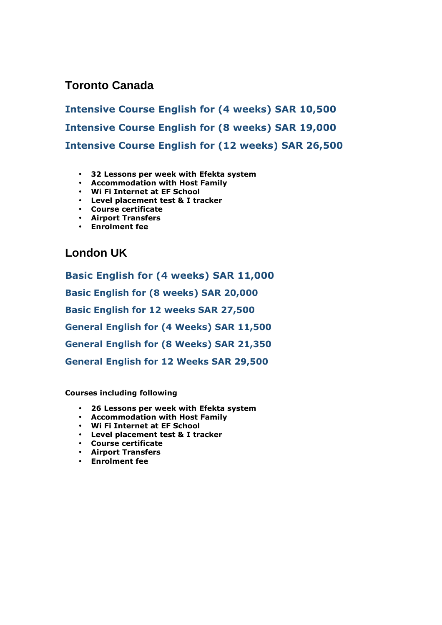# **Toronto Canada**

**Intensive Course English for (4 weeks) SAR 10,500 Intensive Course English for (8 weeks) SAR 19,000 Intensive Course English for (12 weeks) SAR 26,500**

- **32 Lessons per week with Efekta system**
- **Accommodation with Host Family**
- **Wi Fi Internet at EF School**
- **Level placement test & I tracker**
- **Course certificate**
- **Airport Transfers**
- **Enrolment fee**

**London UK** 

**Basic English for (4 weeks) SAR 11,000 Basic English for (8 weeks) SAR 20,000 Basic English for 12 weeks SAR 27,500 General English for (4 Weeks) SAR 11,500 General English for (8 Weeks) SAR 21,350 General English for 12 Weeks SAR 29,500** 

**Courses including following** 

- **26 Lessons per week with Efekta system**
- **Accommodation with Host Family**
- **Wi Fi Internet at EF School**
- **Level placement test & I tracker**
- **Course certificate**
- **Airport Transfers**
- **Enrolment fee**